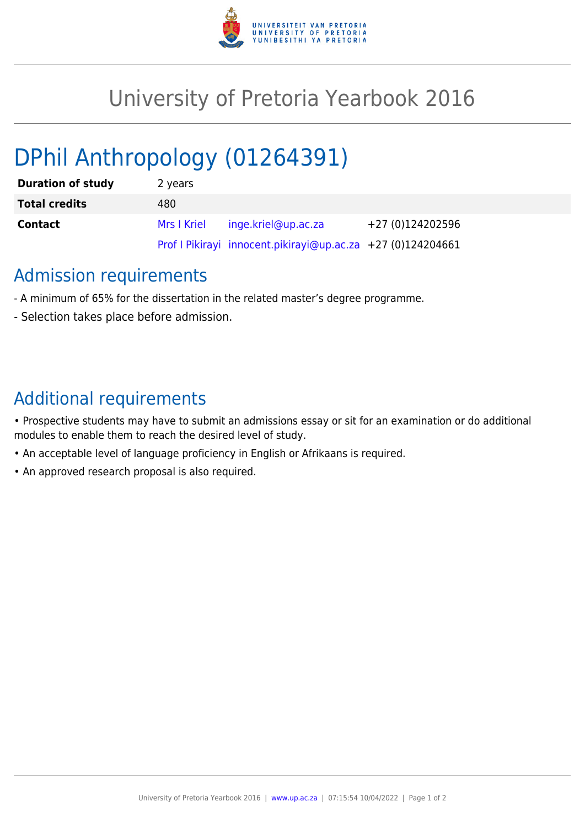

## University of Pretoria Yearbook 2016

# DPhil Anthropology (01264391)

| <b>Duration of study</b> | 2 years     |                                                             |                  |
|--------------------------|-------------|-------------------------------------------------------------|------------------|
| <b>Total credits</b>     | 480         |                                                             |                  |
| <b>Contact</b>           | Mrs I Kriel | inge.kriel@up.ac.za                                         | +27 (0)124202596 |
|                          |             | Prof I Pikirayi innocent.pikirayi@up.ac.za +27 (0)124204661 |                  |

#### Admission requirements

- A minimum of 65% for the dissertation in the related master's degree programme.
- Selection takes place before admission.

### Additional requirements

- Prospective students may have to submit an admissions essay or sit for an examination or do additional modules to enable them to reach the desired level of study.
- An acceptable level of language proficiency in English or Afrikaans is required.
- An approved research proposal is also required.